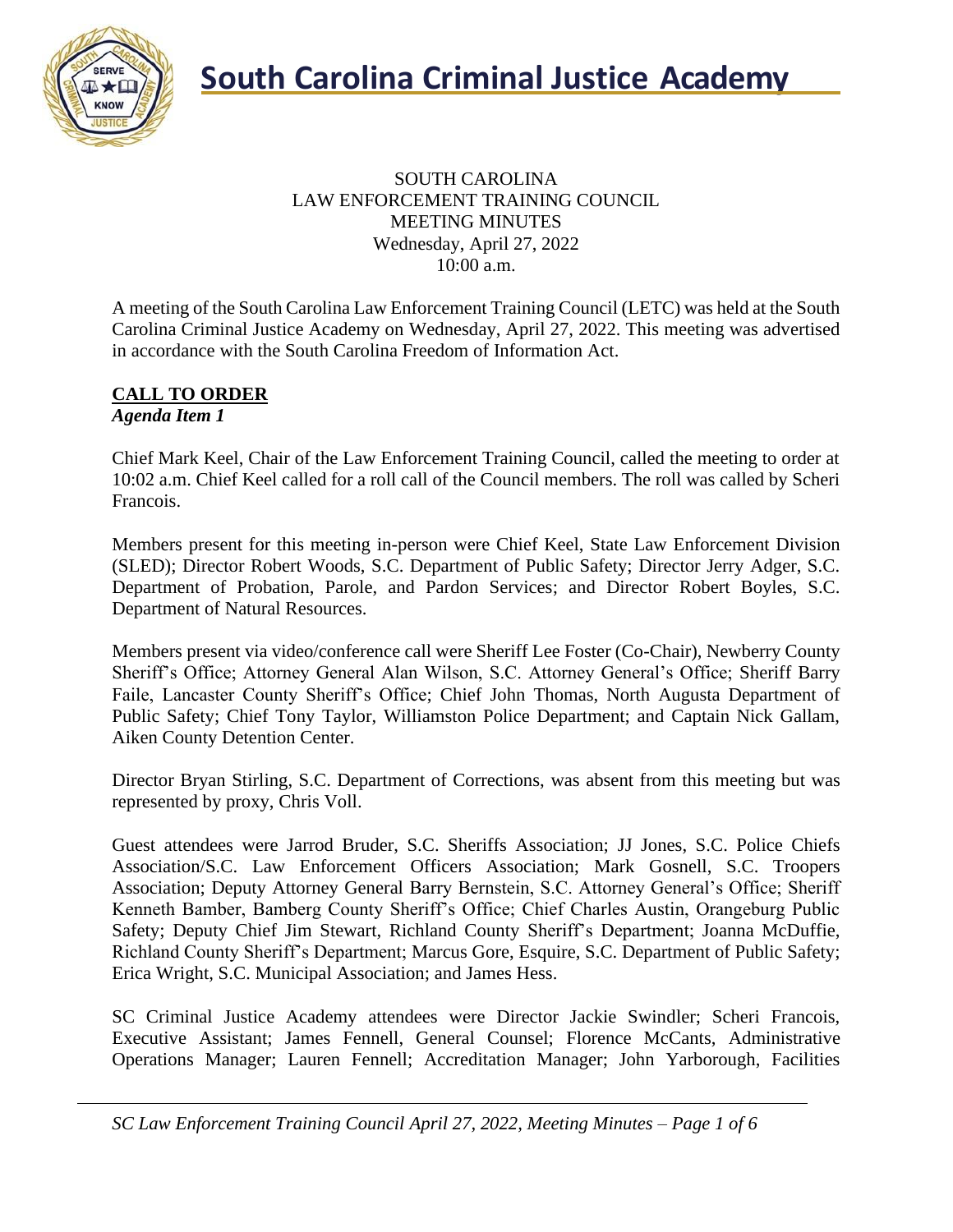

#### SOUTH CAROLINA LAW ENFORCEMENT TRAINING COUNCIL MEETING MINUTES Wednesday, April 27, 2022 10:00 a.m.

A meeting of the South Carolina Law Enforcement Training Council (LETC) was held at the South Carolina Criminal Justice Academy on Wednesday, April 27, 2022. This meeting was advertised in accordance with the South Carolina Freedom of Information Act.

#### **CALL TO ORDER** *Agenda Item 1*

Chief Mark Keel, Chair of the Law Enforcement Training Council, called the meeting to order at 10:02 a.m. Chief Keel called for a roll call of the Council members. The roll was called by Scheri Francois.

Members present for this meeting in-person were Chief Keel, State Law Enforcement Division (SLED); Director Robert Woods, S.C. Department of Public Safety; Director Jerry Adger, S.C. Department of Probation, Parole, and Pardon Services; and Director Robert Boyles, S.C. Department of Natural Resources.

Members present via video/conference call were Sheriff Lee Foster (Co-Chair), Newberry County Sheriff's Office; Attorney General Alan Wilson, S.C. Attorney General's Office; Sheriff Barry Faile, Lancaster County Sheriff's Office; Chief John Thomas, North Augusta Department of Public Safety; Chief Tony Taylor, Williamston Police Department; and Captain Nick Gallam, Aiken County Detention Center.

Director Bryan Stirling, S.C. Department of Corrections, was absent from this meeting but was represented by proxy, Chris Voll.

Guest attendees were Jarrod Bruder, S.C. Sheriffs Association; JJ Jones, S.C. Police Chiefs Association/S.C. Law Enforcement Officers Association; Mark Gosnell, S.C. Troopers Association; Deputy Attorney General Barry Bernstein, S.C. Attorney General's Office; Sheriff Kenneth Bamber, Bamberg County Sheriff's Office; Chief Charles Austin, Orangeburg Public Safety; Deputy Chief Jim Stewart, Richland County Sheriff's Department; Joanna McDuffie, Richland County Sheriff's Department; Marcus Gore, Esquire, S.C. Department of Public Safety; Erica Wright, S.C. Municipal Association; and James Hess.

SC Criminal Justice Academy attendees were Director Jackie Swindler; Scheri Francois, Executive Assistant; James Fennell, General Counsel; Florence McCants, Administrative Operations Manager; Lauren Fennell; Accreditation Manager; John Yarborough, Facilities

*SC Law Enforcement Training Council April 27, 2022, Meeting Minutes – Page 1 of 6*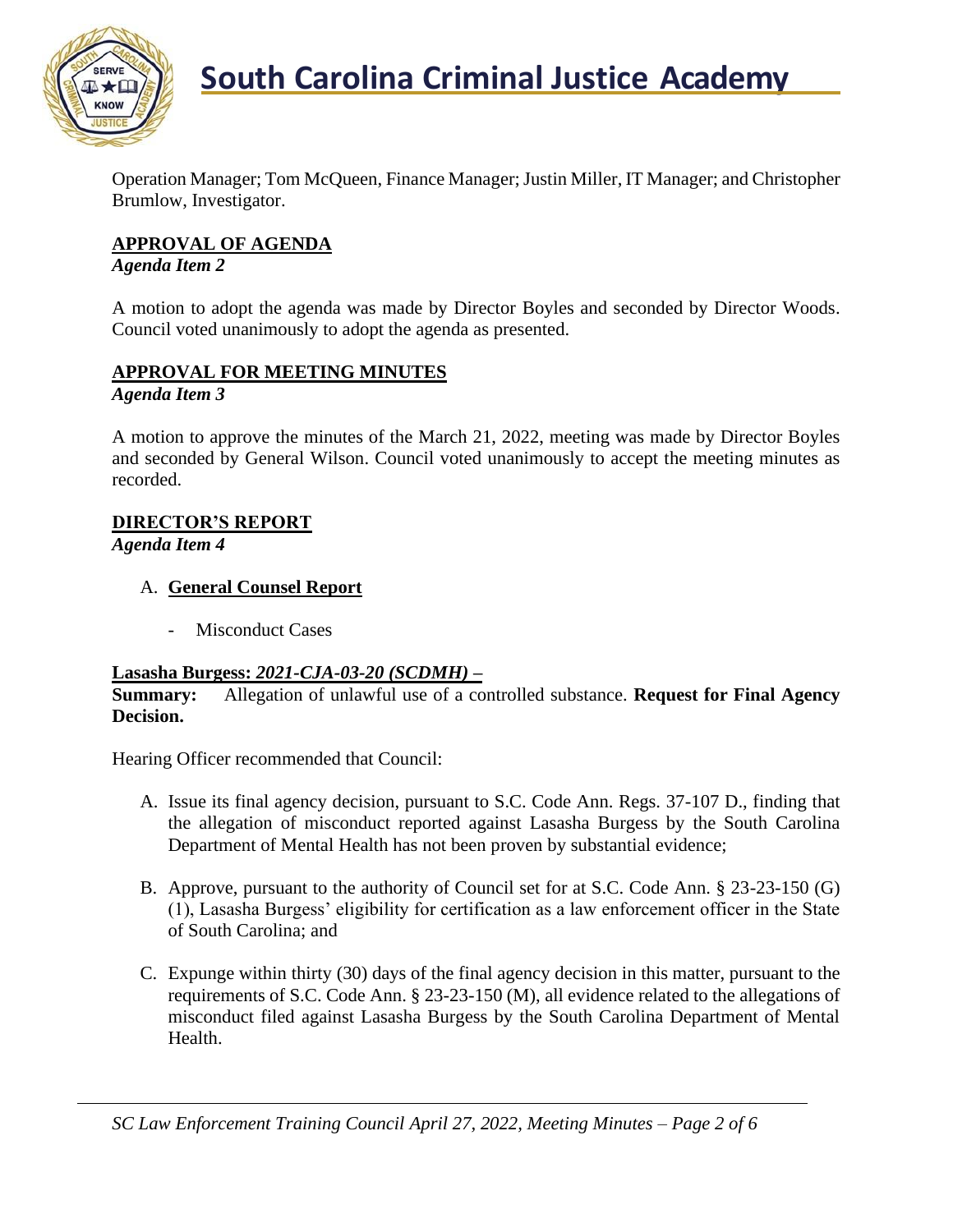

Operation Manager; Tom McQueen, Finance Manager; Justin Miller, IT Manager; and Christopher Brumlow, Investigator.

### **APPROVAL OF AGENDA**

*Agenda Item 2*

A motion to adopt the agenda was made by Director Boyles and seconded by Director Woods. Council voted unanimously to adopt the agenda as presented.

#### **APPROVAL FOR MEETING MINUTES** *Agenda Item 3*

A motion to approve the minutes of the March 21, 2022, meeting was made by Director Boyles and seconded by General Wilson. Council voted unanimously to accept the meeting minutes as recorded.

## **DIRECTOR'S REPORT**

*Agenda Item 4*

- A. **General Counsel Report**
	- Misconduct Cases

#### **Lasasha Burgess:** *2021-CJA-03-20 (SCDMH) –*

**Summary:** Allegation of unlawful use of a controlled substance. **Request for Final Agency Decision.**

Hearing Officer recommended that Council:

- A. Issue its final agency decision, pursuant to S.C. Code Ann. Regs. 37-107 D., finding that the allegation of misconduct reported against Lasasha Burgess by the South Carolina Department of Mental Health has not been proven by substantial evidence;
- B. Approve, pursuant to the authority of Council set for at S.C. Code Ann. § 23-23-150 (G) (1), Lasasha Burgess' eligibility for certification as a law enforcement officer in the State of South Carolina; and
- C. Expunge within thirty (30) days of the final agency decision in this matter, pursuant to the requirements of S.C. Code Ann. § 23-23-150 (M), all evidence related to the allegations of misconduct filed against Lasasha Burgess by the South Carolina Department of Mental Health.

*SC Law Enforcement Training Council April 27, 2022, Meeting Minutes – Page 2 of 6*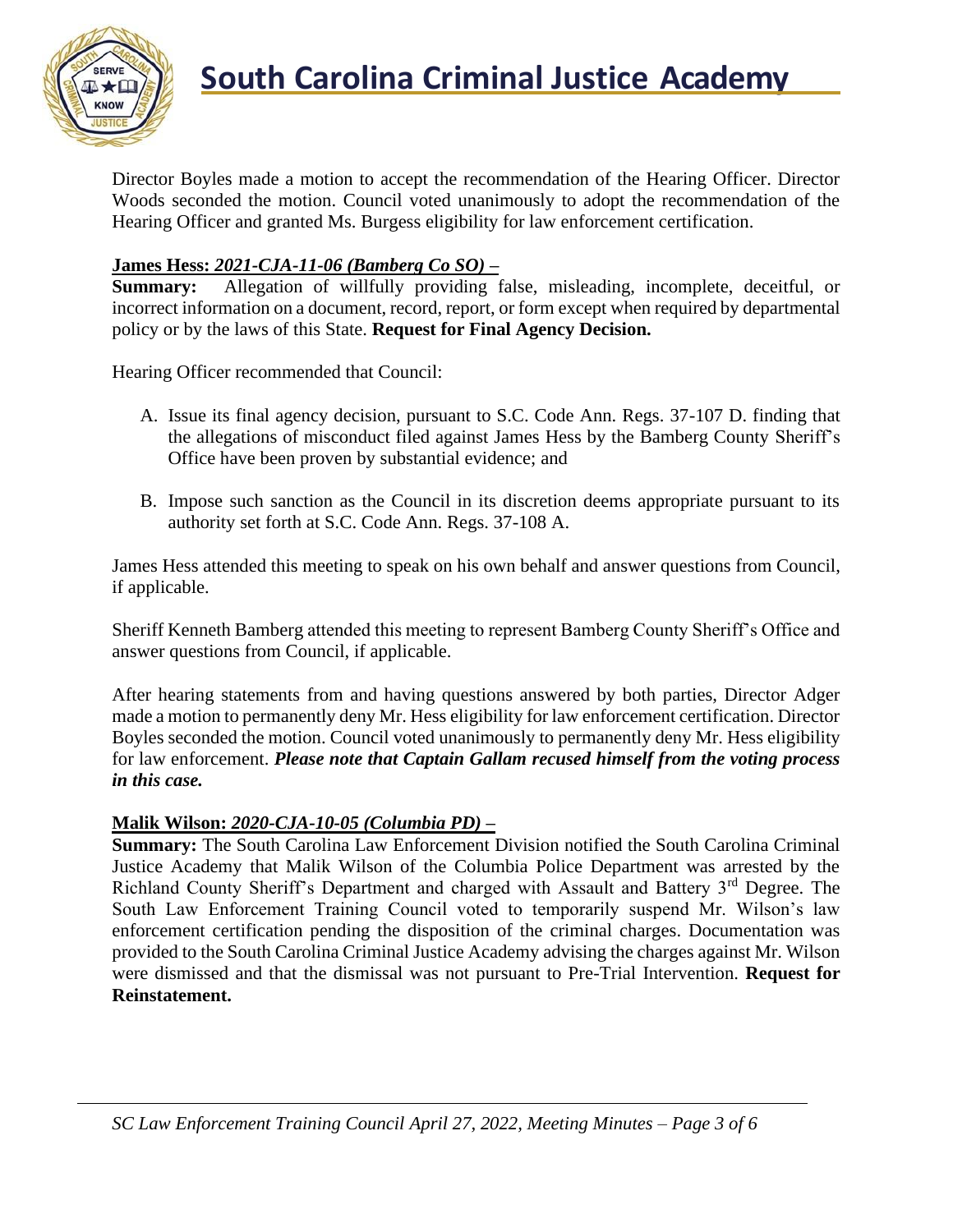

Director Boyles made a motion to accept the recommendation of the Hearing Officer. Director Woods seconded the motion. Council voted unanimously to adopt the recommendation of the Hearing Officer and granted Ms. Burgess eligibility for law enforcement certification.

### **James Hess:** *2021-CJA-11-06 (Bamberg Co SO) –*

**Summary:** Allegation of willfully providing false, misleading, incomplete, deceitful, or incorrect information on a document, record, report, or form except when required by departmental policy or by the laws of this State. **Request for Final Agency Decision.**

Hearing Officer recommended that Council:

- A. Issue its final agency decision, pursuant to S.C. Code Ann. Regs. 37-107 D. finding that the allegations of misconduct filed against James Hess by the Bamberg County Sheriff's Office have been proven by substantial evidence; and
- B. Impose such sanction as the Council in its discretion deems appropriate pursuant to its authority set forth at S.C. Code Ann. Regs. 37-108 A.

James Hess attended this meeting to speak on his own behalf and answer questions from Council, if applicable.

Sheriff Kenneth Bamberg attended this meeting to represent Bamberg County Sheriff's Office and answer questions from Council, if applicable.

After hearing statements from and having questions answered by both parties, Director Adger made a motion to permanently deny Mr. Hess eligibility for law enforcement certification. Director Boyles seconded the motion. Council voted unanimously to permanently deny Mr. Hess eligibility for law enforcement. *Please note that Captain Gallam recused himself from the voting process in this case.*

#### **Malik Wilson:** *2020-CJA-10-05 (Columbia PD) –*

**Summary:** The South Carolina Law Enforcement Division notified the South Carolina Criminal Justice Academy that Malik Wilson of the Columbia Police Department was arrested by the Richland County Sheriff's Department and charged with Assault and Battery 3<sup>rd</sup> Degree. The South Law Enforcement Training Council voted to temporarily suspend Mr. Wilson's law enforcement certification pending the disposition of the criminal charges. Documentation was provided to the South Carolina Criminal Justice Academy advising the charges against Mr. Wilson were dismissed and that the dismissal was not pursuant to Pre-Trial Intervention. **Request for Reinstatement.**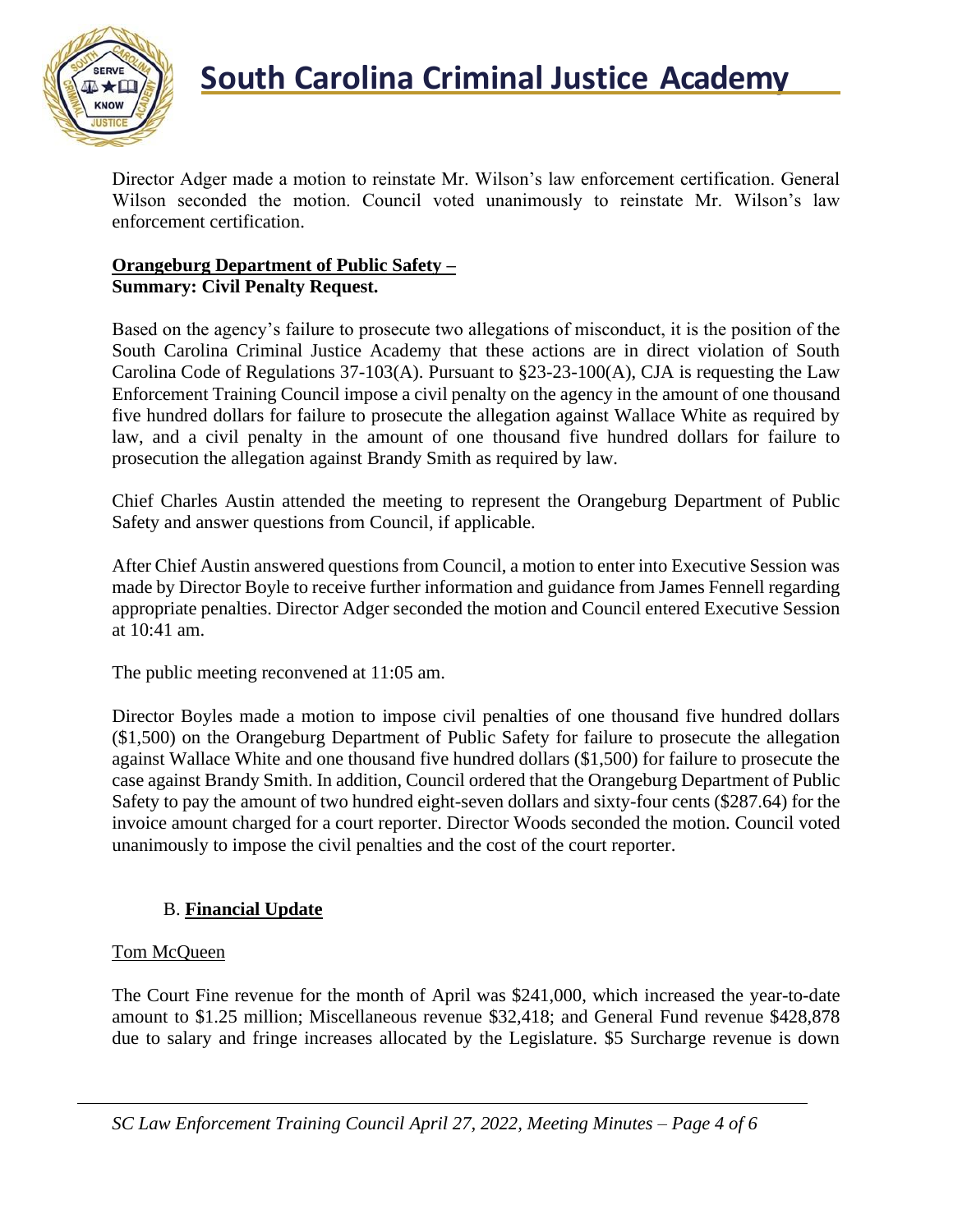

# **South Carolina Criminal Justice Academy**

Director Adger made a motion to reinstate Mr. Wilson's law enforcement certification. General Wilson seconded the motion. Council voted unanimously to reinstate Mr. Wilson's law enforcement certification.

#### **Orangeburg Department of Public Safety** *–* **Summary: Civil Penalty Request.**

Based on the agency's failure to prosecute two allegations of misconduct, it is the position of the South Carolina Criminal Justice Academy that these actions are in direct violation of South Carolina Code of Regulations 37-103(A). Pursuant to §23-23-100(A), CJA is requesting the Law Enforcement Training Council impose a civil penalty on the agency in the amount of one thousand five hundred dollars for failure to prosecute the allegation against Wallace White as required by law, and a civil penalty in the amount of one thousand five hundred dollars for failure to prosecution the allegation against Brandy Smith as required by law.

Chief Charles Austin attended the meeting to represent the Orangeburg Department of Public Safety and answer questions from Council, if applicable.

After Chief Austin answered questions from Council, a motion to enter into Executive Session was made by Director Boyle to receive further information and guidance from James Fennell regarding appropriate penalties. Director Adger seconded the motion and Council entered Executive Session at 10:41 am.

The public meeting reconvened at 11:05 am.

Director Boyles made a motion to impose civil penalties of one thousand five hundred dollars (\$1,500) on the Orangeburg Department of Public Safety for failure to prosecute the allegation against Wallace White and one thousand five hundred dollars (\$1,500) for failure to prosecute the case against Brandy Smith. In addition, Council ordered that the Orangeburg Department of Public Safety to pay the amount of two hundred eight-seven dollars and sixty-four cents (\$287.64) for the invoice amount charged for a court reporter. Director Woods seconded the motion. Council voted unanimously to impose the civil penalties and the cost of the court reporter.

## B. **Financial Update**

## Tom McQueen

The Court Fine revenue for the month of April was \$241,000, which increased the year-to-date amount to \$1.25 million; Miscellaneous revenue \$32,418; and General Fund revenue \$428,878 due to salary and fringe increases allocated by the Legislature. \$5 Surcharge revenue is down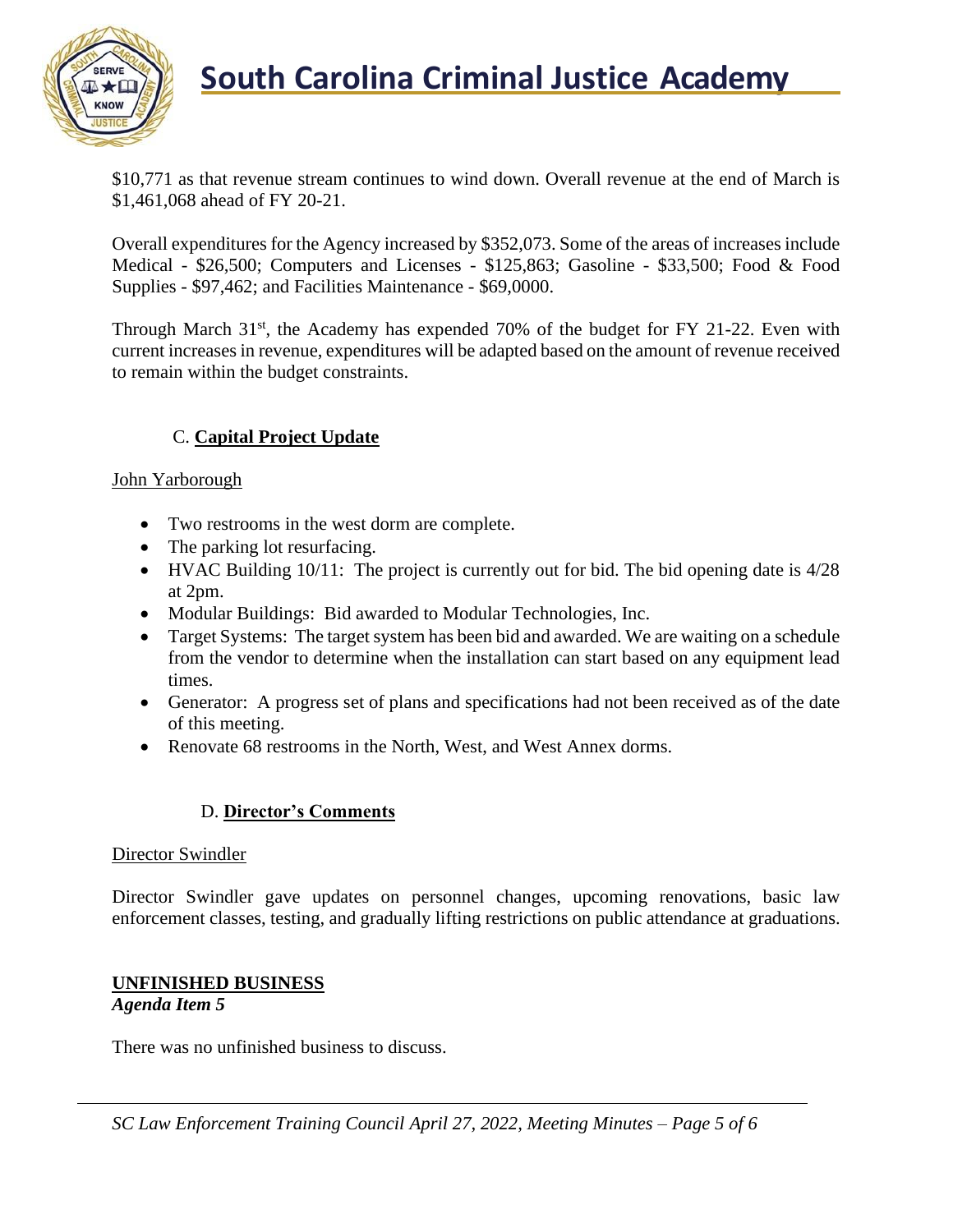

**South Carolina Criminal Justice Academy** 

\$10,771 as that revenue stream continues to wind down. Overall revenue at the end of March is \$1,461,068 ahead of FY 20-21.

Overall expenditures for the Agency increased by \$352,073. Some of the areas of increases include Medical - \$26,500; Computers and Licenses - \$125,863; Gasoline - \$33,500; Food & Food Supplies - \$97,462; and Facilities Maintenance - \$69,0000.

Through March  $31<sup>st</sup>$ , the Academy has expended 70% of the budget for FY 21-22. Even with current increases in revenue, expenditures will be adapted based on the amount of revenue received to remain within the budget constraints.

## C. **Capital Project Update**

#### John Yarborough

- Two restrooms in the west dorm are complete.
- The parking lot resurfacing.
- HVAC Building 10/11: The project is currently out for bid. The bid opening date is 4/28 at 2pm.
- Modular Buildings: Bid awarded to Modular Technologies, Inc.
- Target Systems: The target system has been bid and awarded. We are waiting on a schedule from the vendor to determine when the installation can start based on any equipment lead times.
- Generator: A progress set of plans and specifications had not been received as of the date of this meeting.
- Renovate 68 restrooms in the North, West, and West Annex dorms.

#### D. **Director's Comments**

#### Director Swindler

Director Swindler gave updates on personnel changes, upcoming renovations, basic law enforcement classes, testing, and gradually lifting restrictions on public attendance at graduations.

#### **UNFINISHED BUSINESS** *Agenda Item 5*

There was no unfinished business to discuss.